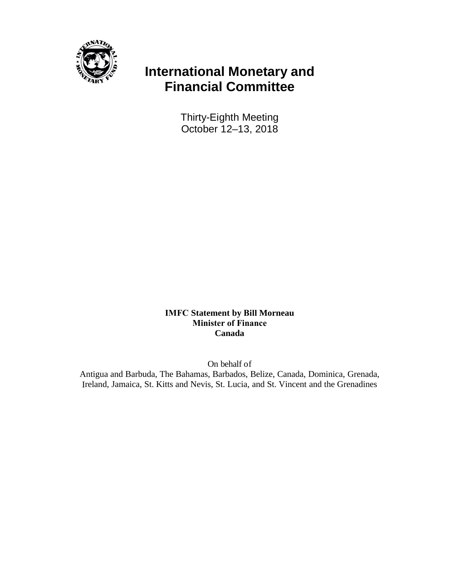

## **International Monetary and Financial Committee**

Thirty-Eighth Meeting October 12–13, 2018

**IMFC Statement by Bill Morneau Minister of Finance Canada** 

On behalf of

Antigua and Barbuda, The Bahamas, Barbados, Belize, Canada, Dominica, Grenada, Ireland, Jamaica, St. Kitts and Nevis, St. Lucia, and St. Vincent and the Grenadines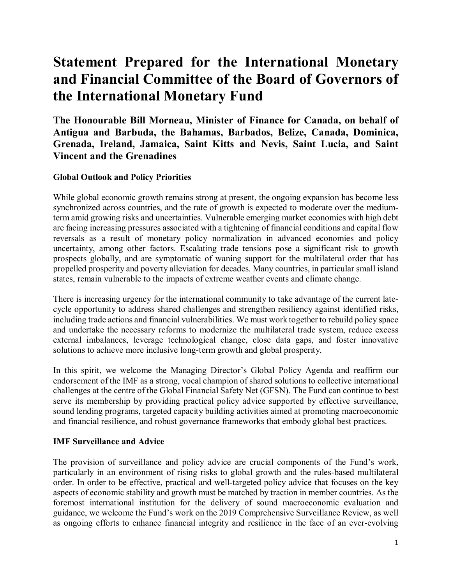# **Statement Prepared for the International Monetary and Financial Committee of the Board of Governors of the International Monetary Fund**

**The Honourable Bill Morneau, Minister of Finance for Canada, on behalf of Antigua and Barbuda, the Bahamas, Barbados, Belize, Canada, Dominica, Grenada, Ireland, Jamaica, Saint Kitts and Nevis, Saint Lucia, and Saint Vincent and the Grenadines**

#### **Global Outlook and Policy Priorities**

While global economic growth remains strong at present, the ongoing expansion has become less synchronized across countries, and the rate of growth is expected to moderate over the mediumterm amid growing risks and uncertainties. Vulnerable emerging market economies with high debt are facing increasing pressures associated with a tightening of financial conditions and capital flow reversals as a result of monetary policy normalization in advanced economies and policy uncertainty, among other factors. Escalating trade tensions pose a significant risk to growth prospects globally, and are symptomatic of waning support for the multilateral order that has propelled prosperity and poverty alleviation for decades. Many countries, in particular small island states, remain vulnerable to the impacts of extreme weather events and climate change.

There is increasing urgency for the international community to take advantage of the current latecycle opportunity to address shared challenges and strengthen resiliency against identified risks, including trade actions and financial vulnerabilities. We must work together to rebuild policy space and undertake the necessary reforms to modernize the multilateral trade system, reduce excess external imbalances, leverage technological change, close data gaps, and foster innovative solutions to achieve more inclusive long-term growth and global prosperity.

In this spirit, we welcome the Managing Director's Global Policy Agenda and reaffirm our endorsement of the IMF as a strong, vocal champion of shared solutions to collective international challenges at the centre of the Global Financial Safety Net (GFSN). The Fund can continue to best serve its membership by providing practical policy advice supported by effective surveillance, sound lending programs, targeted capacity building activities aimed at promoting macroeconomic and financial resilience, and robust governance frameworks that embody global best practices.

#### **IMF Surveillance and Advice**

The provision of surveillance and policy advice are crucial components of the Fund's work, particularly in an environment of rising risks to global growth and the rules-based multilateral order. In order to be effective, practical and well-targeted policy advice that focuses on the key aspects of economic stability and growth must be matched by traction in member countries. As the foremost international institution for the delivery of sound macroeconomic evaluation and guidance, we welcome the Fund's work on the 2019 Comprehensive Surveillance Review, as well as ongoing efforts to enhance financial integrity and resilience in the face of an ever-evolving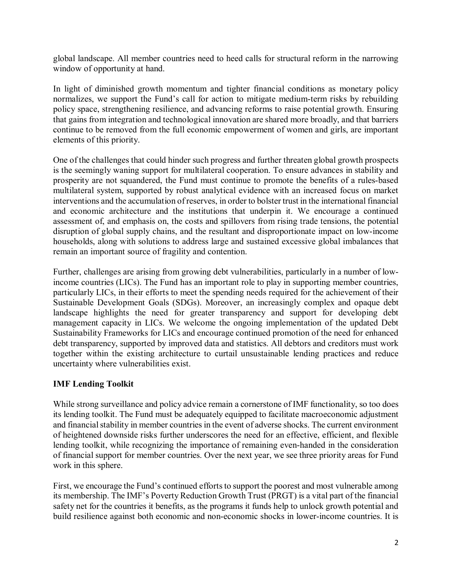global landscape. All member countries need to heed calls for structural reform in the narrowing window of opportunity at hand.

In light of diminished growth momentum and tighter financial conditions as monetary policy normalizes, we support the Fund's call for action to mitigate medium-term risks by rebuilding policy space, strengthening resilience, and advancing reforms to raise potential growth. Ensuring that gains from integration and technological innovation are shared more broadly, and that barriers continue to be removed from the full economic empowerment of women and girls, are important elements of this priority.

One of the challenges that could hinder such progress and further threaten global growth prospects is the seemingly waning support for multilateral cooperation. To ensure advances in stability and prosperity are not squandered, the Fund must continue to promote the benefits of a rules-based multilateral system, supported by robust analytical evidence with an increased focus on market interventions and the accumulation of reserves, in order to bolster trust in the international financial and economic architecture and the institutions that underpin it. We encourage a continued assessment of, and emphasis on, the costs and spillovers from rising trade tensions, the potential disruption of global supply chains, and the resultant and disproportionate impact on low-income households, along with solutions to address large and sustained excessive global imbalances that remain an important source of fragility and contention.

Further, challenges are arising from growing debt vulnerabilities, particularly in a number of lowincome countries (LICs). The Fund has an important role to play in supporting member countries, particularly LICs, in their efforts to meet the spending needs required for the achievement of their Sustainable Development Goals (SDGs). Moreover, an increasingly complex and opaque debt landscape highlights the need for greater transparency and support for developing debt management capacity in LICs. We welcome the ongoing implementation of the updated Debt Sustainability Frameworks for LICs and encourage continued promotion of the need for enhanced debt transparency, supported by improved data and statistics. All debtors and creditors must work together within the existing architecture to curtail unsustainable lending practices and reduce uncertainty where vulnerabilities exist.

#### **IMF Lending Toolkit**

While strong surveillance and policy advice remain a cornerstone of IMF functionality, so too does its lending toolkit. The Fund must be adequately equipped to facilitate macroeconomic adjustment and financial stability in member countries in the event of adverse shocks. The current environment of heightened downside risks further underscores the need for an effective, efficient, and flexible lending toolkit, while recognizing the importance of remaining even-handed in the consideration of financial support for member countries. Over the next year, we see three priority areas for Fund work in this sphere.

First, we encourage the Fund's continued efforts to support the poorest and most vulnerable among its membership. The IMF's Poverty Reduction Growth Trust (PRGT) is a vital part of the financial safety net for the countries it benefits, as the programs it funds help to unlock growth potential and build resilience against both economic and non-economic shocks in lower-income countries. It is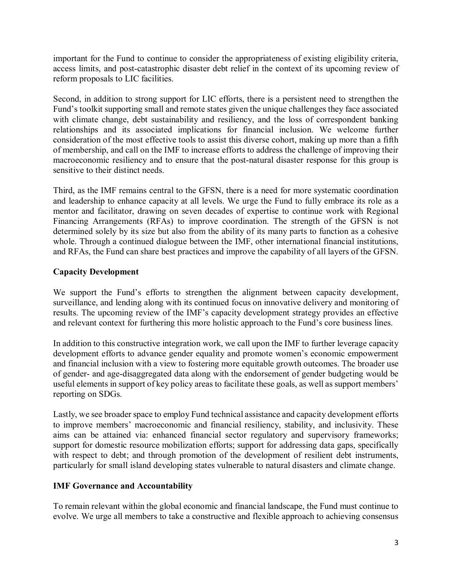important for the Fund to continue to consider the appropriateness of existing eligibility criteria, access limits, and post-catastrophic disaster debt relief in the context of its upcoming review of reform proposals to LIC facilities.

Second, in addition to strong support for LIC efforts, there is a persistent need to strengthen the Fund's toolkit supporting small and remote states given the unique challenges they face associated with climate change, debt sustainability and resiliency, and the loss of correspondent banking relationships and its associated implications for financial inclusion. We welcome further consideration of the most effective tools to assist this diverse cohort, making up more than a fifth of membership, and call on the IMF to increase efforts to address the challenge of improving their macroeconomic resiliency and to ensure that the post-natural disaster response for this group is sensitive to their distinct needs.

Third, as the IMF remains central to the GFSN, there is a need for more systematic coordination and leadership to enhance capacity at all levels. We urge the Fund to fully embrace its role as a mentor and facilitator, drawing on seven decades of expertise to continue work with Regional Financing Arrangements (RFAs) to improve coordination. The strength of the GFSN is not determined solely by its size but also from the ability of its many parts to function as a cohesive whole. Through a continued dialogue between the IMF, other international financial institutions, and RFAs, the Fund can share best practices and improve the capability of all layers of the GFSN.

### **Capacity Development**

We support the Fund's efforts to strengthen the alignment between capacity development, surveillance, and lending along with its continued focus on innovative delivery and monitoring of results. The upcoming review of the IMF's capacity development strategy provides an effective and relevant context for furthering this more holistic approach to the Fund's core business lines.

In addition to this constructive integration work, we call upon the IMF to further leverage capacity development efforts to advance gender equality and promote women's economic empowerment and financial inclusion with a view to fostering more equitable growth outcomes. The broader use of gender- and age-disaggregated data along with the endorsement of gender budgeting would be useful elements in support of key policy areas to facilitate these goals, as well as support members' reporting on SDGs.

Lastly, we see broader space to employ Fund technical assistance and capacity development efforts to improve members' macroeconomic and financial resiliency, stability, and inclusivity. These aims can be attained via: enhanced financial sector regulatory and supervisory frameworks; support for domestic resource mobilization efforts; support for addressing data gaps, specifically with respect to debt; and through promotion of the development of resilient debt instruments, particularly for small island developing states vulnerable to natural disasters and climate change.

#### **IMF Governance and Accountability**

To remain relevant within the global economic and financial landscape, the Fund must continue to evolve. We urge all members to take a constructive and flexible approach to achieving consensus